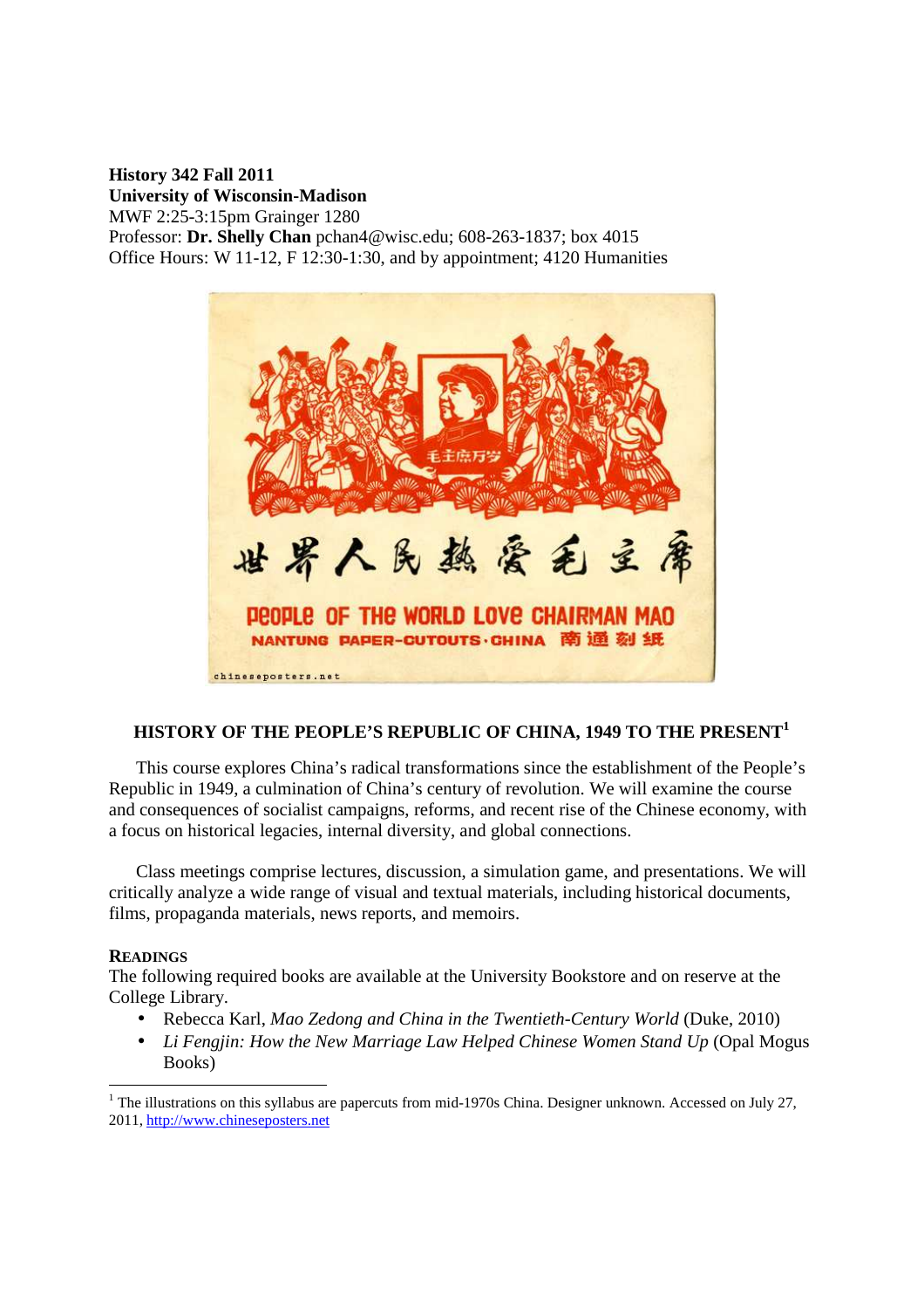#### **History 342 Fall 2011 University of Wisconsin-Madison**  MWF 2:25-3:15pm Grainger 1280 Professor: **Dr. Shelly Chan** pchan4@wisc.edu; 608-263-1837; box 4015

Office Hours: W 11-12, F 12:30-1:30, and by appointment; 4120 Humanities



# **HISTORY OF THE PEOPLE'S REPUBLIC OF CHINA, 1949 TO THE PRESENT<sup>1</sup>**

This course explores China's radical transformations since the establishment of the People's Republic in 1949, a culmination of China's century of revolution. We will examine the course and consequences of socialist campaigns, reforms, and recent rise of the Chinese economy, with a focus on historical legacies, internal diversity, and global connections.

Class meetings comprise lectures, discussion, a simulation game, and presentations. We will critically analyze a wide range of visual and textual materials, including historical documents, films, propaganda materials, news reports, and memoirs.

#### **READINGS**

-

The following required books are available at the University Bookstore and on reserve at the College Library.

- Rebecca Karl, *Mao Zedong and China in the Twentieth-Century World* (Duke, 2010)
- *Li Fengjin: How the New Marriage Law Helped Chinese Women Stand Up* (Opal Mogus Books)

<sup>&</sup>lt;sup>1</sup> The illustrations on this syllabus are papercuts from mid-1970s China. Designer unknown. Accessed on July 27, 2011, http://www.chineseposters.net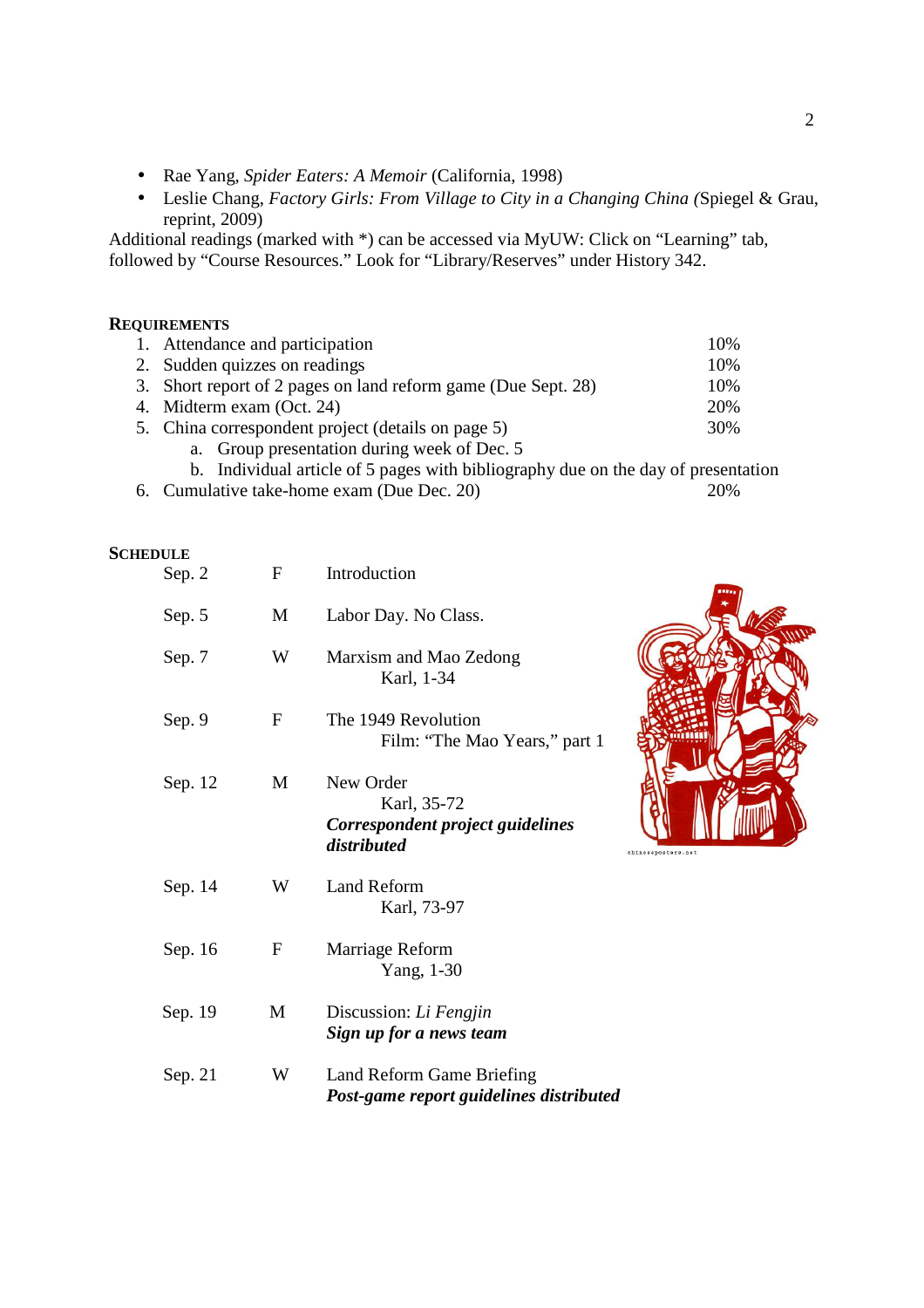- Rae Yang, *Spider Eaters: A Memoir* (California, 1998)
- Leslie Chang, *Factory Girls: From Village to City in a Changing China (*Spiegel & Grau, reprint, 2009)

Additional readings (marked with \*) can be accessed via MyUW: Click on "Learning" tab, followed by "Course Resources." Look for "Library/Reserves" under History 342.

#### **REQUIREMENTS**

| 1. Attendance and participation                               | 10% |
|---------------------------------------------------------------|-----|
| 2. Sudden quizzes on readings                                 | 10% |
| 3. Short report of 2 pages on land reform game (Due Sept. 28) | 10% |
| 4. Midterm exam (Oct. 24)                                     | 20% |
| 5. China correspondent project (details on page 5)            | 30% |
| a. Group presentation during week of Dec. 5                   |     |

- b. Individual article of 5 pages with bibliography due on the day of presentation
- 6. Cumulative take-home exam (Due Dec. 20) 20%

#### **SCHEDULE**

| Sep. 2  | F                         | Introduction                                                                             |  |
|---------|---------------------------|------------------------------------------------------------------------------------------|--|
| Sep. 5  | M                         | Labor Day. No Class.                                                                     |  |
| Sep. 7  | W                         | Marxism and Mao Zedong<br>Karl, 1-34                                                     |  |
| Sep. 9  | $\boldsymbol{\mathrm{F}}$ | The 1949 Revolution<br>Film: "The Mao Years," part 1                                     |  |
| Sep. 12 | M                         | New Order<br>Karl, 35-72<br>Correspondent project guidelines<br>distributed<br>chinesepo |  |
| Sep. 14 | W                         | Land Reform<br>Karl, 73-97                                                               |  |
| Sep. 16 | F                         | Marriage Reform<br>Yang, 1-30                                                            |  |
| Sep. 19 | M                         | Discussion: Li Fengjin<br>Sign up for a news team                                        |  |
| Sep. 21 | W                         | Land Reform Game Briefing<br>Post-game report guidelines distributed                     |  |

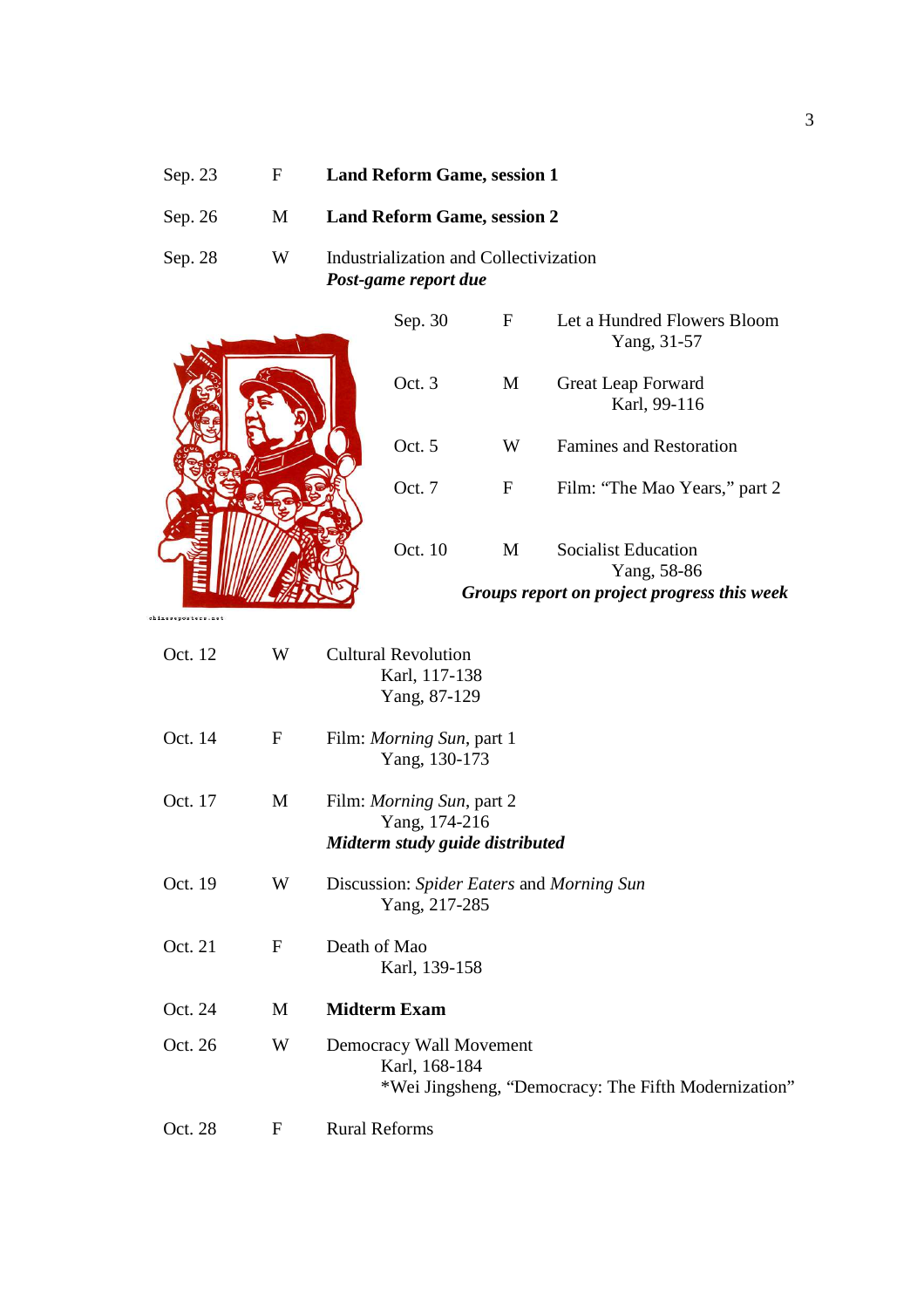| Sep. 23 | F. | <b>Land Reform Game, session 1</b>                             |
|---------|----|----------------------------------------------------------------|
| Sep. 26 | M. | <b>Land Reform Game, session 2</b>                             |
| Sep. 28 | W  | Industrialization and Collectivization<br>Post-game report due |



chineseposters.net

| Oct. 12 | W            | <b>Cultural Revolution</b><br>Karl, 117-138<br>Yang, 87-129                                      |
|---------|--------------|--------------------------------------------------------------------------------------------------|
| Oct. 14 | $\mathbf{F}$ | Film: <i>Morning Sun</i> , part 1<br>Yang, 130-173                                               |
| Oct. 17 | M            | Film: <i>Morning Sun</i> , part 2<br>Yang, 174-216<br>Midterm study guide distributed            |
| Oct. 19 | W            | Discussion: Spider Eaters and Morning Sun<br>Yang, 217-285                                       |
| Oct. 21 | $\mathbf F$  | Death of Mao<br>Karl, 139-158                                                                    |
| Oct. 24 | M            | <b>Midterm Exam</b>                                                                              |
| Oct. 26 | W            | Democracy Wall Movement<br>Karl, 168-184<br>*Wei Jingsheng, "Democracy: The Fifth Modernization" |
| Oct. 28 | $\mathbf F$  | <b>Rural Reforms</b>                                                                             |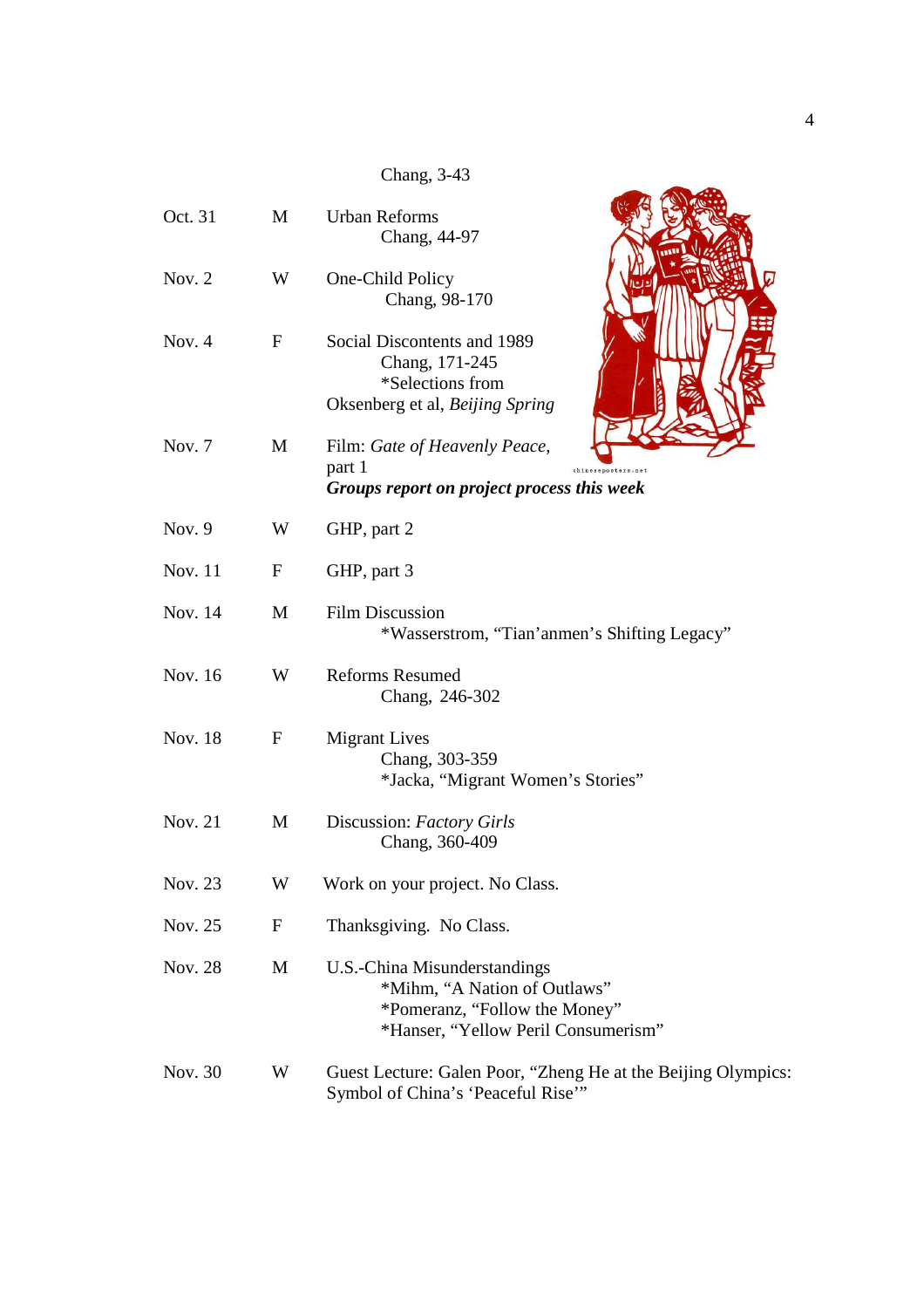Chang, 3-43

| Oct. 31        | M           | <b>Urban Reforms</b><br>Chang, 44-97                                                                                                 |
|----------------|-------------|--------------------------------------------------------------------------------------------------------------------------------------|
| Nov. $2$       | W           | One-Child Policy<br>Chang, 98-170                                                                                                    |
| Nov. $4$       | $\mathbf F$ | Social Discontents and 1989<br>Chang, 171-245<br>*Selections from<br>Oksenberg et al, Beijing Spring                                 |
| Nov. 7         | M           | Film: Gate of Heavenly Peace,<br>part 1<br>Groups report on project process this week                                                |
| Nov. 9         | W           | GHP, part 2                                                                                                                          |
| <b>Nov. 11</b> | $\mathbf F$ | GHP, part 3                                                                                                                          |
| Nov. 14        | M           | <b>Film Discussion</b><br>*Wasserstrom, "Tian' anmen's Shifting Legacy"                                                              |
| Nov. 16        | W           | <b>Reforms Resumed</b><br>Chang, 246-302                                                                                             |
| <b>Nov. 18</b> | F           | <b>Migrant Lives</b><br>Chang, 303-359<br>*Jacka, "Migrant Women's Stories"                                                          |
| Nov. 21        | M           | Discussion: Factory Girls<br>Chang, 360-409                                                                                          |
| Nov. 23        | W           | Work on your project. No Class.                                                                                                      |
| Nov. 25        | $\mathbf F$ | Thanksgiving. No Class.                                                                                                              |
| Nov. 28        | M           | U.S.-China Misunderstandings<br>*Mihm, "A Nation of Outlaws"<br>*Pomeranz, "Follow the Money"<br>*Hanser, "Yellow Peril Consumerism" |
| Nov. 30        | W           | Guest Lecture: Galen Poor, "Zheng He at the Beijing Olympics:<br>Symbol of China's 'Peaceful Rise'"                                  |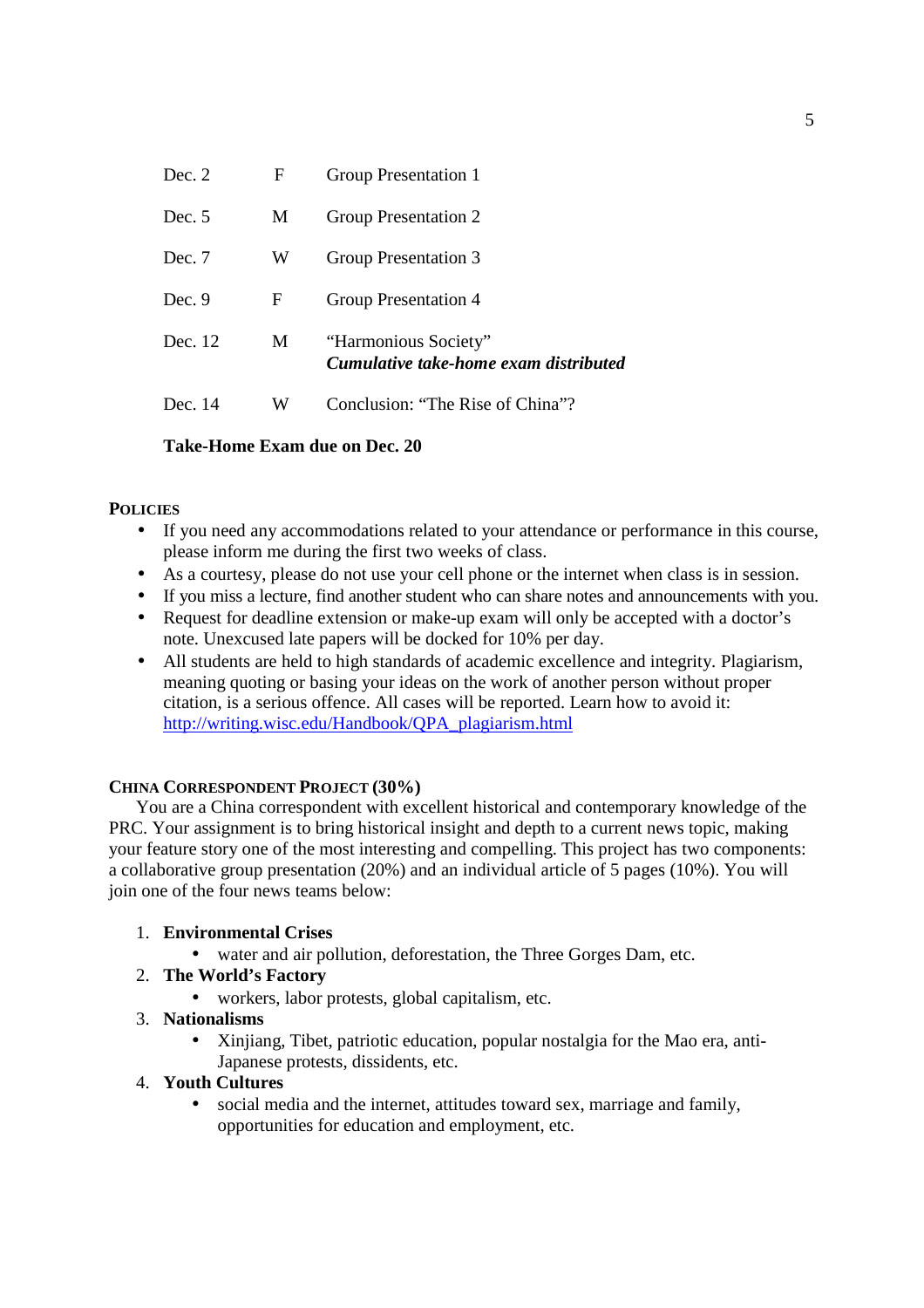| Dec. 12  | M | "Harmonious Society" |
|----------|---|----------------------|
| Dec. 9   | F | Group Presentation 4 |
| Dec. 7   | W | Group Presentation 3 |
| Dec. $5$ | M | Group Presentation 2 |
| Dec. 2   | F | Group Presentation 1 |

## **Take-Home Exam due on Dec. 20**

## **POLICIES**

- If you need any accommodations related to your attendance or performance in this course, please inform me during the first two weeks of class.
- As a courtesy, please do not use your cell phone or the internet when class is in session.
- If you miss a lecture, find another student who can share notes and announcements with you.
- Request for deadline extension or make-up exam will only be accepted with a doctor's note. Unexcused late papers will be docked for 10% per day.
- All students are held to high standards of academic excellence and integrity. Plagiarism, meaning quoting or basing your ideas on the work of another person without proper citation, is a serious offence. All cases will be reported. Learn how to avoid it: http://writing.wisc.edu/Handbook/QPA\_plagiarism.html

## **CHINA CORRESPONDENT PROJECT (30%)**

You are a China correspondent with excellent historical and contemporary knowledge of the PRC. Your assignment is to bring historical insight and depth to a current news topic, making your feature story one of the most interesting and compelling. This project has two components: a collaborative group presentation (20%) and an individual article of 5 pages (10%). You will join one of the four news teams below:

## 1. **Environmental Crises**

• water and air pollution, deforestation, the Three Gorges Dam, etc.

## 2. **The World's Factory**

• workers, labor protests, global capitalism, etc.

# 3. **Nationalisms**

• Xinjiang, Tibet, patriotic education, popular nostalgia for the Mao era, anti-Japanese protests, dissidents, etc.

## 4. **Youth Cultures**

• social media and the internet, attitudes toward sex, marriage and family, opportunities for education and employment, etc.